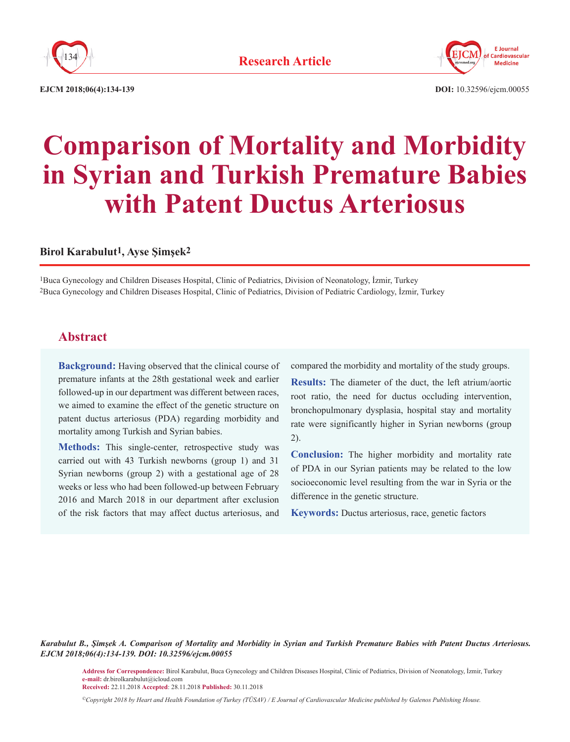



**EJCM 2018;06(4):134-139 DOI:** 10.32596/ejcm.00055

# **Comparison of Mortality and Morbidity in Syrian and Turkish Premature Babies with Patent Ductus Arteriosus**

#### **Birol Karabulut1, Ayse Şimşek2**

1Buca Gynecology and Children Diseases Hospital, Clinic of Pediatrics, Division of Neonatology, İzmir, Turkey 2Buca Gynecology and Children Diseases Hospital, Clinic of Pediatrics, Division of Pediatric Cardiology, İzmir, Turkey

# **Abstract**

**Background:** Having observed that the clinical course of premature infants at the 28th gestational week and earlier followed-up in our department was different between races, we aimed to examine the effect of the genetic structure on patent ductus arteriosus (PDA) regarding morbidity and mortality among Turkish and Syrian babies.

**Methods:** This single-center, retrospective study was carried out with 43 Turkish newborns (group 1) and 31 Syrian newborns (group 2) with a gestational age of 28 weeks or less who had been followed-up between February 2016 and March 2018 in our department after exclusion of the risk factors that may affect ductus arteriosus, and

compared the morbidity and mortality of the study groups.

**Results:** The diameter of the duct, the left atrium/aortic root ratio, the need for ductus occluding intervention, bronchopulmonary dysplasia, hospital stay and mortality rate were significantly higher in Syrian newborns (group 2).

**Conclusion:** The higher morbidity and mortality rate of PDA in our Syrian patients may be related to the low socioeconomic level resulting from the war in Syria or the difference in the genetic structure.

**Keywords:** Ductus arteriosus, race, genetic factors

*Karabulut B., Şimşek A. Comparison of Mortality and Morbidity in Syrian and Turkish Premature Babies with Patent Ductus Arteriosus. EJCM 2018;06(4):134-139. DOI: 10.32596/ejcm.00055*

**Address for Correspondence:** Birol Karabulut, Buca Gynecology and Children Diseases Hospital, Clinic of Pediatrics, Division of Neonatology, İzmir, Turkey **e-mail:** dr.birolkarabulut@icloud.com

**Received:** 22.11.2018 **Accepted**: 28.11.2018 **Published:** 30.11.2018

*©Copyright 2018 by Heart and Health Foundation of Turkey (TÜSAV) / E Journal of Cardiovascular Medicine published by Galenos Publishing House.*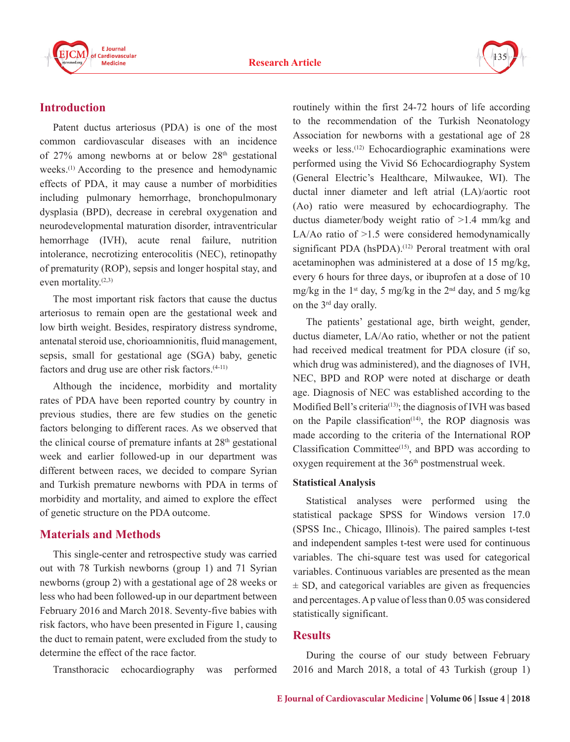



# **Introduction**

Patent ductus arteriosus (PDA) is one of the most common cardiovascular diseases with an incidence of  $27\%$  among newborns at or below  $28<sup>th</sup>$  gestational weeks.(1) According to the presence and hemodynamic effects of PDA, it may cause a number of morbidities including pulmonary hemorrhage, bronchopulmonary dysplasia (BPD), decrease in cerebral oxygenation and neurodevelopmental maturation disorder, intraventricular hemorrhage (IVH), acute renal failure, nutrition intolerance, necrotizing enterocolitis (NEC), retinopathy of prematurity (ROP), sepsis and longer hospital stay, and even mortality. $(2,3)$ 

The most important risk factors that cause the ductus arteriosus to remain open are the gestational week and low birth weight. Besides, respiratory distress syndrome, antenatal steroid use, chorioamnionitis, fluid management, sepsis, small for gestational age (SGA) baby, genetic factors and drug use are other risk factors.<sup>(4-11)</sup>

Although the incidence, morbidity and mortality rates of PDA have been reported country by country in previous studies, there are few studies on the genetic factors belonging to different races. As we observed that the clinical course of premature infants at  $28<sup>th</sup>$  gestational week and earlier followed-up in our department was different between races, we decided to compare Syrian and Turkish premature newborns with PDA in terms of morbidity and mortality, and aimed to explore the effect of genetic structure on the PDA outcome.

# **Materials and Methods**

This single-center and retrospective study was carried out with 78 Turkish newborns (group 1) and 71 Syrian newborns (group 2) with a gestational age of 28 weeks or less who had been followed-up in our department between February 2016 and March 2018. Seventy-five babies with risk factors, who have been presented in Figure 1, causing the duct to remain patent, were excluded from the study to determine the effect of the race factor.

Transthoracic echocardiography was performed

routinely within the first 24-72 hours of life according to the recommendation of the Turkish Neonatology Association for newborns with a gestational age of 28 weeks or less.<sup>(12)</sup> Echocardiographic examinations were performed using the Vivid S6 Echocardiography System (General Electric's Healthcare, Milwaukee, WI). The ductal inner diameter and left atrial (LA)/aortic root (Ao) ratio were measured by echocardiography. The ductus diameter/body weight ratio of >1.4 mm/kg and LA/Ao ratio of >1.5 were considered hemodynamically significant PDA (hsPDA).<sup>(12)</sup> Peroral treatment with oral acetaminophen was administered at a dose of 15 mg/kg, every 6 hours for three days, or ibuprofen at a dose of 10 mg/kg in the 1<sup>st</sup> day, 5 mg/kg in the 2<sup>nd</sup> day, and 5 mg/kg on the 3rd day orally.

The patients' gestational age, birth weight, gender, ductus diameter, LA/Ao ratio, whether or not the patient had received medical treatment for PDA closure (if so, which drug was administered), and the diagnoses of IVH, NEC, BPD and ROP were noted at discharge or death age. Diagnosis of NEC was established according to the Modified Bell's criteria<sup>(13)</sup>; the diagnosis of IVH was based on the Papile classification<sup>(14)</sup>, the ROP diagnosis was made according to the criteria of the International ROP Classification Committee<sup>(15)</sup>, and BPD was according to oxygen requirement at the 36<sup>th</sup> postmenstrual week.

#### **Statistical Analysis**

Statistical analyses were performed using the statistical package SPSS for Windows version 17.0 (SPSS Inc., Chicago, Illinois). The paired samples t-test and independent samples t-test were used for continuous variables. The chi-square test was used for categorical variables. Continuous variables are presented as the mean  $\pm$  SD, and categorical variables are given as frequencies and percentages. A p value of less than 0.05 was considered statistically significant.

#### **Results**

During the course of our study between February 2016 and March 2018, a total of 43 Turkish (group 1)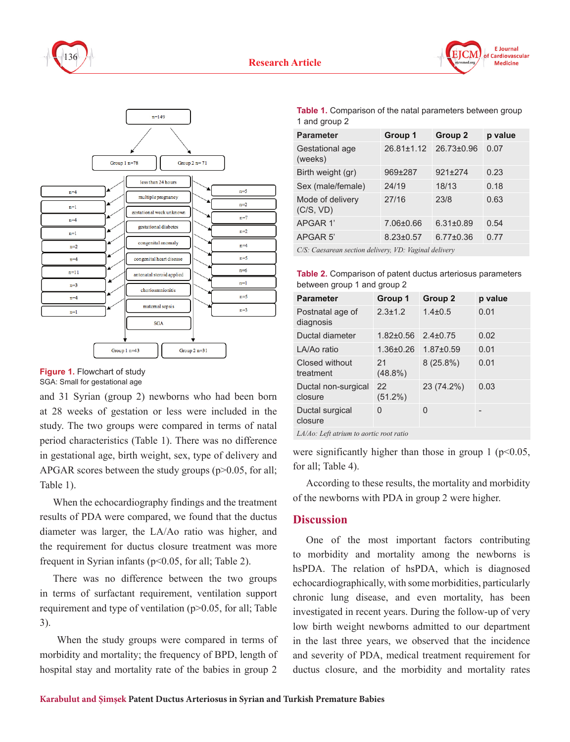





and 31 Syrian (group 2) newborns who had been born at 28 weeks of gestation or less were included in the study. The two groups were compared in terms of natal period characteristics (Table 1). There was no difference in gestational age, birth weight, sex, type of delivery and APGAR scores between the study groups  $(p>0.05$ , for all; Table 1).

When the echocardiography findings and the treatment results of PDA were compared, we found that the ductus diameter was larger, the LA/Ao ratio was higher, and the requirement for ductus closure treatment was more frequent in Syrian infants (p<0.05, for all; Table 2).

There was no difference between the two groups in terms of surfactant requirement, ventilation support requirement and type of ventilation (p>0.05, for all; Table 3).

 When the study groups were compared in terms of morbidity and mortality; the frequency of BPD, length of hospital stay and mortality rate of the babies in group 2

**Table 1.** Comparison of the natal parameters between group 1 and group 2

**F** Journal Cardiovascular **Medicine** 

| <b>Parameter</b>              | Group 1          | Group 2         | p value |
|-------------------------------|------------------|-----------------|---------|
| Gestational age<br>(weeks)    | $26.81 \pm 1.12$ | 26.73±0.96      | 0.07    |
| Birth weight (gr)             | 969±287          | 921±274         | 0.23    |
| Sex (male/female)             | 24/19            | 18/13           | 0.18    |
| Mode of delivery<br>(C/S, VD) | 27/16            | 23/8            | 0.63    |
| APGAR 1'                      | 7.06±0.66        | $6.31 \pm 0.89$ | 0.54    |
| APGAR <sub>5</sub>            | $8.23 \pm 0.57$  | $6.77 \pm 0.36$ | 0.77    |
|                               |                  |                 |         |

*C/S: Caesarean section delivery, VD: Vaginal delivery*

**Table 2.** Comparison of patent ductus arteriosus parameters between group 1 and group 2

| <b>Parameter</b>                                                                                                                                                                                                                                                                                 | Group 1          | Group 2        | p value |  |
|--------------------------------------------------------------------------------------------------------------------------------------------------------------------------------------------------------------------------------------------------------------------------------------------------|------------------|----------------|---------|--|
| Postnatal age of<br>diagnosis                                                                                                                                                                                                                                                                    | $2.3 \pm 1.2$    | $1.4 \pm 0.5$  | 0.01    |  |
| Ductal diameter                                                                                                                                                                                                                                                                                  | $1.82 \pm 0.56$  | $2.4 \pm 0.75$ | 0.02    |  |
| LA/Ao ratio                                                                                                                                                                                                                                                                                      | $1.36 \pm 0.26$  | $1.87 + 0.59$  | 0.01    |  |
| Closed without<br>treatment                                                                                                                                                                                                                                                                      | 21<br>$(48.8\%)$ | $8(25.8\%)$    | 0.01    |  |
| Ductal non-surgical<br>closure                                                                                                                                                                                                                                                                   | 22<br>$(51.2\%)$ | 23 (74.2%)     | 0.03    |  |
| Ductal surgical<br>closure                                                                                                                                                                                                                                                                       | 0                | 0              |         |  |
| $\mathbf{r}$ and $\mathbf{r}$ and $\mathbf{r}$ and $\mathbf{r}$ and $\mathbf{r}$ and $\mathbf{r}$ and $\mathbf{r}$ and $\mathbf{r}$ and $\mathbf{r}$ and $\mathbf{r}$ and $\mathbf{r}$ and $\mathbf{r}$ and $\mathbf{r}$ and $\mathbf{r}$ and $\mathbf{r}$ and $\mathbf{r}$ and $\mathbf{r}$ and |                  |                |         |  |

*LA/Ao: Left atrium to aortic root ratio*

were significantly higher than those in group 1 ( $p$  < 0.05, for all; Table 4).

According to these results, the mortality and morbidity of the newborns with PDA in group 2 were higher.

## **Discussion**

One of the most important factors contributing to morbidity and mortality among the newborns is hsPDA. The relation of hsPDA, which is diagnosed echocardiographically, with some morbidities, particularly chronic lung disease, and even mortality, has been investigated in recent years. During the follow-up of very low birth weight newborns admitted to our department in the last three years, we observed that the incidence and severity of PDA, medical treatment requirement for ductus closure, and the morbidity and mortality rates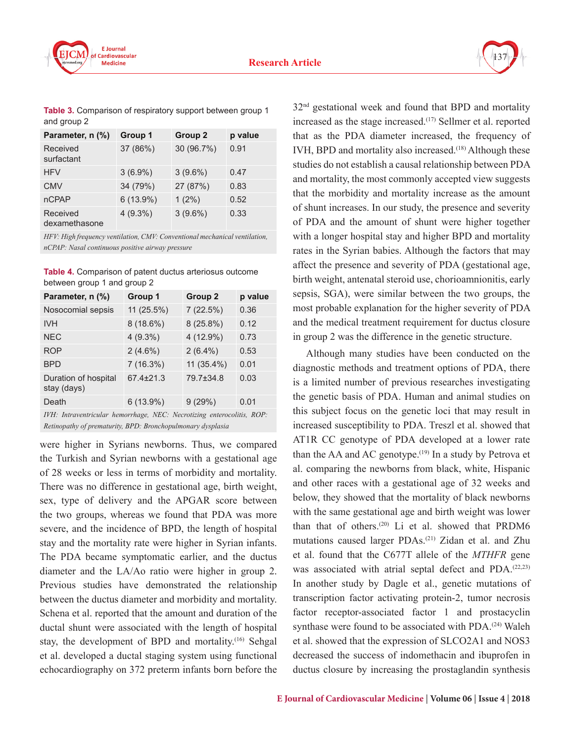



**Table 3.** Comparison of respiratory support between group 1 and group 2

| Parameter, n (%)          | Group 1    | Group 2    | p value |
|---------------------------|------------|------------|---------|
| Received<br>surfactant    | 37 (86%)   | 30 (96.7%) | 0.91    |
| <b>HFV</b>                | $3(6.9\%)$ | $3(9.6\%)$ | 0.47    |
| <b>CMV</b>                | 34 (79%)   | 27 (87%)   | 0.83    |
| <b>nCPAP</b>              | 6(13.9%)   | $1(2\%)$   | 0.52    |
| Received<br>dexamethasone | $4(9.3\%)$ | $3(9.6\%)$ | 0.33    |

*HFV: High frequency ventilation, CMV: Conventional mechanical ventilation, nCPAP: Nasal continuous positive airway pressure*

| <b>Table 4.</b> Comparison of patent ductus arteriosus outcome |
|----------------------------------------------------------------|
| between group 1 and group 2                                    |

| Parameter, n (%)                    | Group 1         | Group <sub>2</sub> | p value |
|-------------------------------------|-----------------|--------------------|---------|
| Nosocomial sepsis                   | 11 (25.5%)      | 7(22.5%)           | 0.36    |
| <b>IVH</b>                          | $8(18.6\%)$     | 8(25.8%)           | 0.12    |
| <b>NEC</b>                          | $4(9.3\%)$      | 4 (12.9%)          | 0.73    |
| <b>ROP</b>                          | $2(4.6\%)$      | $2(6.4\%)$         | 0.53    |
| <b>BPD</b>                          | 7(16.3%)        | 11 (35.4%)         | 0.01    |
| Duration of hospital<br>stay (days) | $67.4 \pm 21.3$ | 79.7±34.8          | 0.03    |
| Death                               | 6(13.9%)        | 9(29%)             | 0.01    |

*IVH: Intraventricular hemorrhage, NEC: Necrotizing enterocolitis, ROP: Retinopathy of prematurity, BPD: Bronchopulmonary dysplasia*

were higher in Syrians newborns. Thus, we compared the Turkish and Syrian newborns with a gestational age of 28 weeks or less in terms of morbidity and mortality. There was no difference in gestational age, birth weight, sex, type of delivery and the APGAR score between the two groups, whereas we found that PDA was more severe, and the incidence of BPD, the length of hospital stay and the mortality rate were higher in Syrian infants. The PDA became symptomatic earlier, and the ductus diameter and the LA/Ao ratio were higher in group 2. Previous studies have demonstrated the relationship between the ductus diameter and morbidity and mortality. Schena et al. reported that the amount and duration of the ductal shunt were associated with the length of hospital stay, the development of BPD and mortality.<sup>(16)</sup> Sehgal et al. developed a ductal staging system using functional echocardiography on 372 preterm infants born before the 32nd gestational week and found that BPD and mortality increased as the stage increased.<sup>(17)</sup> Sellmer et al. reported that as the PDA diameter increased, the frequency of IVH, BPD and mortality also increased.<sup>(18)</sup> Although these studies do not establish a causal relationship between PDA and mortality, the most commonly accepted view suggests that the morbidity and mortality increase as the amount of shunt increases. In our study, the presence and severity of PDA and the amount of shunt were higher together with a longer hospital stay and higher BPD and mortality rates in the Syrian babies. Although the factors that may affect the presence and severity of PDA (gestational age, birth weight, antenatal steroid use, chorioamnionitis, early sepsis, SGA), were similar between the two groups, the most probable explanation for the higher severity of PDA and the medical treatment requirement for ductus closure in group 2 was the difference in the genetic structure.

Although many studies have been conducted on the diagnostic methods and treatment options of PDA, there is a limited number of previous researches investigating the genetic basis of PDA. Human and animal studies on this subject focus on the genetic loci that may result in increased susceptibility to PDA. Treszl et al. showed that AT1R CC genotype of PDA developed at a lower rate than the AA and AC genotype.<sup> $(19)$ </sup> In a study by Petrova et al. comparing the newborns from black, white, Hispanic and other races with a gestational age of 32 weeks and below, they showed that the mortality of black newborns with the same gestational age and birth weight was lower than that of others.<sup>(20)</sup> Li et al. showed that PRDM6 mutations caused larger PDAs.(21) Zidan et al. and Zhu et al. found that the C677T allele of the *MTHFR* gene was associated with atrial septal defect and PDA.<sup>(22,23)</sup> In another study by Dagle et al., genetic mutations of transcription factor activating protein-2, tumor necrosis factor receptor-associated factor 1 and prostacyclin synthase were found to be associated with PDA.<sup>(24)</sup> Waleh et al. showed that the expression of SLCO2A1 and NOS3 decreased the success of indomethacin and ibuprofen in ductus closure by increasing the prostaglandin synthesis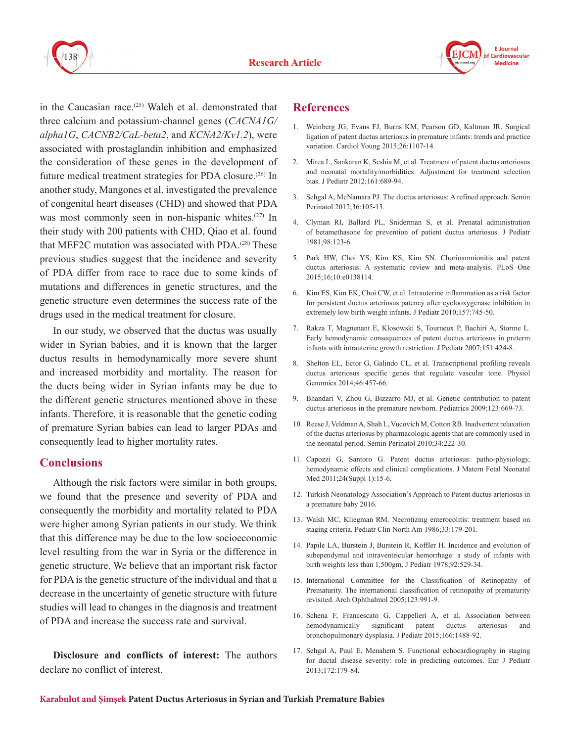



in the Caucasian race.<sup> $(25)$ </sup> Waleh et al. demonstrated that three calcium and potassium-channel genes (*CACNA1G/ alpha1G*, *CACNB2/CaL-beta2*, and *KCNA2/Kv1.2*), were associated with prostaglandin inhibition and emphasized the consideration of these genes in the development of future medical treatment strategies for PDA closure.(26) In another study, Mangones et al. investigated the prevalence of congenital heart diseases (CHD) and showed that PDA was most commonly seen in non-hispanic whites.<sup>(27)</sup> In their study with 200 patients with CHD, Qiao et al. found that MEF2C mutation was associated with PDA.(28) These previous studies suggest that the incidence and severity of PDA differ from race to race due to some kinds of mutations and differences in genetic structures, and the genetic structure even determines the success rate of the drugs used in the medical treatment for closure.

In our study, we observed that the ductus was usually wider in Syrian babies, and it is known that the larger ductus results in hemodynamically more severe shunt and increased morbidity and mortality. The reason for the ducts being wider in Syrian infants may be due to the different genetic structures mentioned above in these infants. Therefore, it is reasonable that the genetic coding of premature Syrian babies can lead to larger PDAs and consequently lead to higher mortality rates.

## **Conclusions**

Although the risk factors were similar in both groups, we found that the presence and severity of PDA and consequently the morbidity and mortality related to PDA were higher among Syrian patients in our study. We think that this difference may be due to the low socioeconomic level resulting from the war in Syria or the difference in genetic structure. We believe that an important risk factor for PDA is the genetic structure of the individual and that a decrease in the uncertainty of genetic structure with future studies will lead to changes in the diagnosis and treatment of PDA and increase the success rate and survival.

**Disclosure and conflicts of interest:** The authors declare no conflict of interest.

### **References**

- 1. Weinberg JG, Evans FJ, Burns KM, Pearson GD, Kaltman JR. Surgical ligation of patent ductus arteriosus in premature infants: trends and practice variation. Cardiol Young 2015;26:1107-14.
- 2. Mirea L, Sankaran K, Seshia M, et al. Treatment of patent ductus arteriosus and neonatal mortality/morbidities: Adjustment for treatment selection bias. J Pediatr 2012;161:689-94.
- 3. Sehgal A, McNamara PJ. The ductus arteriosus: A refined approach. Semin Perinatol 2012;36:105-13.
- 4. Clyman RI, Ballard PL, Sniderman S, et al. Prenatal administration of betamethasone for prevention of patient ductus arteriosus. J Pediatr 1981;98:123-6.
- 5. Park HW, Choi YS, Kim KS, Kim SN. Chorioamnionitis and patent ductus arteriosus: A systematic review and meta-analysis. PLoS One 2015;16;10:e0138114.
- 6. Kim ES, Kim EK, Choi CW, et al. Intrauterine inflammation as a risk factor for persistent ductus arteriosus patency after cyclooxygenase inhibition in extremely low birth weight infants. J Pediatr 2010;157:745-50.
- 7. Rakza T, Magnenant E, Klosowski S, Tourneux P, Bachiri A, Storme L. Early hemodynamic consequences of patent ductus arteriosus in preterm infants with intrauterine growth restriction. J Pediatr 2007;151:424-8.
- 8. Shelton EL, Ector G, Galindo CL, et al. Transcriptional profiling reveals ductus arteriosus specific genes that regulate vascular tone. Physiol Genomics 2014;46:457-66.
- 9. Bhandari V, Zhou G, Bizzarro MJ, et al. Genetic contribution to patent ductus arteriosus in the premature newborn. Pediatrics 2009;123:669-73.
- 10. Reese J, Veldman A, Shah L, Vucovich M, Cotton RB. Inadvertent relaxation of the ductus arteriosus by pharmacologic agents that are commonly used in the neonatal period. Semin Perinatol 2010;34:222-30.
- 11. Capozzi G, Santoro G. Patent ductus arteriosus: patho-physiology, hemodynamic effects and clinical complications. J Matern Fetal Neonatal Med 2011;24(Suppl 1):15-6.
- 12. Turkish Neonatology Association's Approach to Patent ductus arteriosus in a premature baby 2016.
- 13. Walsh MC, Kliegman RM. Necrotizing enterocolitis: treatment based on staging criteria. Pediatr Clin North Am 1986;33:179-201.
- 14. Papile LA, Burstein J, Burstein R, Koffler H. Incidence and evolution of subependymal and intraventricular hemorrhage: a study of infants with birth weights less than 1,500gm. J Pediatr 1978;92:529-34.
- 15. International Committee for the Classification of Retinopathy of Prematurity. The international classification of retinopathy of prematurity revisited. Arch Ophthalmol 2005;123:991-9.
- 16. Schena F, Francescato G, Cappelleri A, et al. Association between hemodynamically significant patent ductus arteriosus bronchopulmonary dysplasia. J Pediatr 2015;166:1488-92.
- 17. Sehgal A, Paul E, Menahem S. Functional echocardiography in staging for ductal disease severity: role in predicting outcomes. Eur J Pediatr 2013;172:179-84.